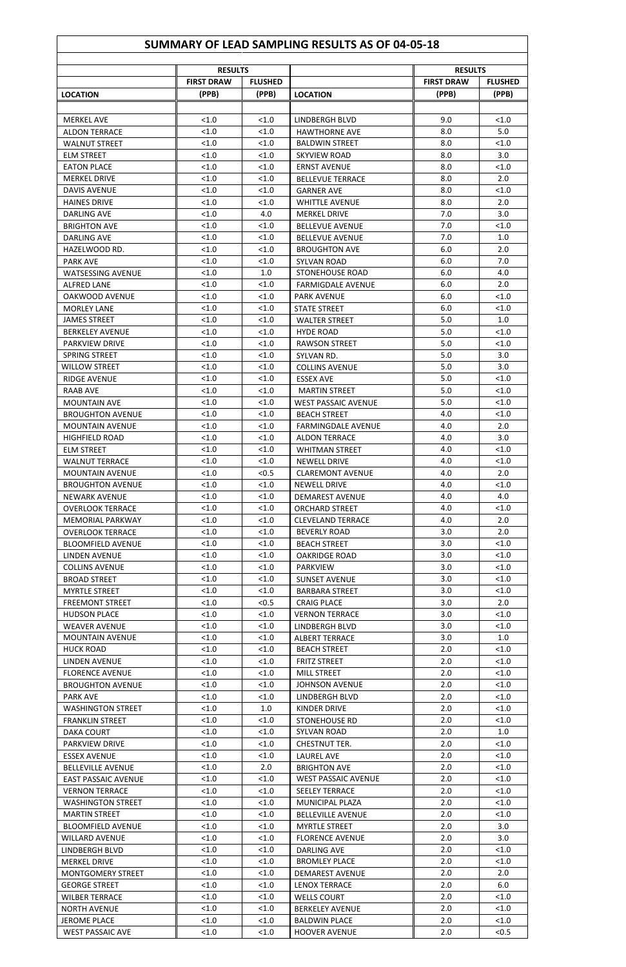## **SUMMARY OF LEAD SAMPLING RESULTS AS OF 04-05-18**

|                            | <b>RESULTS</b>    |                |                            | <b>RESULTS</b>    |                |  |
|----------------------------|-------------------|----------------|----------------------------|-------------------|----------------|--|
|                            | <b>FIRST DRAW</b> | <b>FLUSHED</b> |                            | <b>FIRST DRAW</b> | <b>FLUSHED</b> |  |
| <b>LOCATION</b>            | (PPB)             | (PPB)          | <b>LOCATION</b>            | (PPB)             | (PPB)          |  |
|                            |                   |                |                            |                   |                |  |
| <b>MERKEL AVE</b>          | < 1.0             | < 1.0          | <b>LINDBERGH BLVD</b>      | 9.0               | < 1.0          |  |
|                            |                   |                |                            |                   |                |  |
| <b>ALDON TERRACE</b>       | < 1.0             | < 1.0          | <b>HAWTHORNE AVE</b>       | 8.0               | 5.0            |  |
| <b>WALNUT STREET</b>       | < 1.0             | < 1.0          | <b>BALDWIN STREET</b>      | 8.0               | < 1.0          |  |
| <b>ELM STREET</b>          | < 1.0             | < 1.0          | <b>SKYVIEW ROAD</b>        | 8.0               | 3.0            |  |
| <b>EATON PLACE</b>         | < 1.0             | < 1.0          | <b>ERNST AVENUE</b>        | 8.0               | < 1.0          |  |
| <b>MERKEL DRIVE</b>        | < 1.0             | < 1.0          | <b>BELLEVUE TERRACE</b>    | 8.0               | 2.0            |  |
| <b>DAVIS AVENUE</b>        | < 1.0             | < 1.0          | <b>GARNER AVE</b>          | 8.0               | < 1.0          |  |
| <b>HAINES DRIVE</b>        | < 1.0             | < 1.0          | <b>WHITTLE AVENUE</b>      | 8.0               | 2.0            |  |
|                            |                   |                |                            |                   |                |  |
| <b>DARLING AVE</b>         | < 1.0             | 4.0            | <b>MERKEL DRIVE</b>        | 7.0               | 3.0            |  |
| <b>BRIGHTON AVE</b>        | < 1.0             | < 1.0          | <b>BELLEVUE AVENUE</b>     | 7.0               | < 1.0          |  |
| <b>DARLING AVE</b>         | < 1.0             | < 1.0          | <b>BELLEVUE AVENUE</b>     | 7.0               | 1.0            |  |
| HAZELWOOD RD.              | < 1.0             | < 1.0          | <b>BROUGHTON AVE</b>       | 6.0               | 2.0            |  |
| <b>PARK AVE</b>            | < 1.0             | < 1.0          | <b>SYLVAN ROAD</b>         | 6.0               | 7.0            |  |
| <b>WATSESSING AVENUE</b>   | < 1.0             | 1.0            | <b>STONEHOUSE ROAD</b>     | 6.0               | 4.0            |  |
| <b>ALFRED LANE</b>         | < 1.0             | < 1.0          | <b>FARMIGDALF AVENUE</b>   | 6.0               | 2.0            |  |
|                            |                   |                |                            |                   |                |  |
| OAKWOOD AVENUE             | < 1.0             | < 1.0          | <b>PARK AVENUE</b>         | 6.0               | < 1.0          |  |
| <b>MORLEY LANE</b>         | < 1.0             | < 1.0          | <b>STATE STREET</b>        | 6.0               | < 1.0          |  |
| <b>JAMES STREET</b>        | < 1.0             | < 1.0          | <b>WALTER STREET</b>       | 5.0               | 1.0            |  |
| <b>BERKELEY AVENUE</b>     | < 1.0             | < 1.0          | <b>HYDE ROAD</b>           | 5.0               | < 1.0          |  |
| <b>PARKVIEW DRIVE</b>      | < 1.0             | < 1.0          | <b>RAWSON STREET</b>       | 5.0               | < 1.0          |  |
| SPRING STREET              | < 1.0             | < 1.0          | SYLVAN RD.                 | 5.0               | 3.0            |  |
| <b>WILLOW STREET</b>       | < 1.0             | < 1.0          | <b>COLLINS AVENUE</b>      | 5.0               | 3.0            |  |
|                            | < 1.0             | < 1.0          |                            |                   |                |  |
| <b>RIDGE AVENUE</b>        |                   |                | <b>ESSEX AVE</b>           | 5.0               | < 1.0          |  |
| <b>RAAB AVE</b>            | < 1.0             | < 1.0          | <b>MARTIN STREET</b>       | 5.0               | < 1.0          |  |
| <b>MOUNTAIN AVE</b>        | < 1.0             | < 1.0          | <b>WEST PASSAIC AVENUE</b> | 5.0               | < 1.0          |  |
| <b>BROUGHTON AVENUE</b>    | <1.0              | < 1.0          | <b>BEACH STREET</b>        | 4.0               | < 1.0          |  |
| <b>MOUNTAIN AVENUE</b>     | < 1.0             | < 1.0          | <b>FARMINGDALE AVENUE</b>  | 4.0               | 2.0            |  |
| <b>HIGHFIELD ROAD</b>      | < 1.0             | < 1.0          | <b>ALDON TERRACE</b>       | 4.0               | 3.0            |  |
| <b>ELM STREET</b>          | < 1.0             | < 1.0          | <b>WHITMAN STREET</b>      | 4.0               | < 1.0          |  |
|                            | < 1.0             |                |                            | 4.0               |                |  |
| <b>WALNUT TERRACE</b>      |                   | < 1.0          | <b>NEWELL DRIVE</b>        |                   | < 1.0          |  |
| <b>MOUNTAIN AVENUE</b>     | < 1.0             | < 0.5          | <b>CLAREMONT AVENUE</b>    | 4.0               | 2.0            |  |
| <b>BROUGHTON AVENUE</b>    | < 1.0             | < 1.0          | <b>NEWELL DRIVE</b>        | 4.0               | < 1.0          |  |
| <b>NEWARK AVENUE</b>       | < 1.0             | < 1.0          | <b>DEMAREST AVENUE</b>     | 4.0               | 4.0            |  |
| <b>OVERLOOK TERRACE</b>    | < 1.0             | < 1.0          | <b>ORCHARD STREET</b>      | 4.0               | < 1.0          |  |
| <b>MEMORIAL PARKWAY</b>    | < 1.0             | < 1.0          | <b>CLEVELAND TERRACE</b>   | 4.0               | 2.0            |  |
| <b>OVERLOOK TERRACE</b>    | < 1.0             | < 1.0          | <b>BEVERLY ROAD</b>        | 3.0               | 2.0            |  |
|                            |                   |                |                            |                   |                |  |
| <b>BLOOMFIELD AVENUE</b>   | < 1.0             | < 1.0          | <b>BEACH STREET</b>        | 3.0               | < 1.0          |  |
| LINDEN AVENUE              | < 1.0             | < 1.0          | <b>OAKRIDGE ROAD</b>       | 3.0               | < 1.0          |  |
| <b>COLLINS AVENUE</b>      | < 1.0             | < 1.0          | <b>PARKVIEW</b>            | 3.0               | < 1.0          |  |
| <b>BROAD STREET</b>        | < 1.0             | < 1.0          | <b>SUNSET AVENUE</b>       | 3.0               | < 1.0          |  |
| <b>MYRTLE STREET</b>       | < 1.0             | < 1.0          | <b>BARBARA STREET</b>      | 3.0               | < 1.0          |  |
| <b>FREEMONT STREET</b>     | < 1.0             | < 0.5          | <b>CRAIG PLACE</b>         | 3.0               | 2.0            |  |
| <b>HUDSON PLACE</b>        | < 1.0             | < 1.0          | <b>VERNON TERRACE</b>      | 3.0               | < 1.0          |  |
|                            | < 1.0             | < 1.0          |                            | 3.0               | < 1.0          |  |
| <b>WEAVER AVENUE</b>       |                   |                | LINDBERGH BLVD             |                   |                |  |
| <b>MOUNTAIN AVENUE</b>     | < 1.0             | < 1.0          | <b>ALBERT TERRACE</b>      | 3.0               | 1.0            |  |
| <b>HUCK ROAD</b>           | < 1.0             | < 1.0          | <b>BEACH STREET</b>        | 2.0               | < 1.0          |  |
| LINDEN AVENUE              | < 1.0             | < 1.0          | <b>FRITZ STREET</b>        | 2.0               | < 1.0          |  |
| <b>FLORENCE AVENUE</b>     | < 1.0             | < 1.0          | <b>MILL STREET</b>         | 2.0               | < 1.0          |  |
| <b>BROUGHTON AVENUE</b>    | < 1.0             | < 1.0          | <b>JOHNSON AVENUE</b>      | 2.0               | < 1.0          |  |
| <b>PARK AVE</b>            | < 1.0             | < 1.0          | <b>LINDBERGH BLVD</b>      | 2.0               | < 1.0          |  |
| <b>WASHINGTON STREET</b>   | < 1.0             | 1.0            | KINDER DRIVE               | 2.0               | < 1.0          |  |
|                            | < 1.0             | < 1.0          |                            | 2.0               |                |  |
| <b>FRANKLIN STREET</b>     |                   |                | <b>STONEHOUSE RD</b>       |                   | < 1.0          |  |
| <b>DAKA COURT</b>          | < 1.0             | < 1.0          | <b>SYLVAN ROAD</b>         | 2.0               | 1.0            |  |
| PARKVIEW DRIVE             | < 1.0             | < 1.0          | CHESTNUT TER.              | 2.0               | < 1.0          |  |
| <b>ESSEX AVENUE</b>        | < 1.0             | < 1.0          | <b>LAUREL AVE</b>          | 2.0               | < 1.0          |  |
| <b>BELLEVILLE AVENUE</b>   | < 1.0             | 2.0            | <b>BRIGHTON AVE</b>        | 2.0               | < 1.0          |  |
| <b>EAST PASSAIC AVENUE</b> | < 1.0             | < 1.0          | <b>WEST PASSAIC AVENUE</b> | 2.0               | < 1.0          |  |
| <b>VERNON TERRACE</b>      | < 1.0             | < 1.0          | <b>SEELEY TERRACE</b>      | 2.0               | < 1.0          |  |
|                            | < 1.0             | < 1.0          |                            | 2.0               | < 1.0          |  |
| <b>WASHINGTON STREET</b>   |                   |                | MUNICIPAL PLAZA            |                   |                |  |
| <b>MARTIN STREET</b>       | < 1.0             | < 1.0          | <b>BELLEVILLE AVENUE</b>   | 2.0               | < 1.0          |  |
| <b>BLOOMFIELD AVENUE</b>   | < 1.0             | < 1.0          | <b>MYRTLE STREET</b>       | 2.0               | 3.0            |  |
| <b>WILLARD AVENUE</b>      | < 1.0             | < 1.0          | <b>FLORENCE AVENUE</b>     | 2.0               | 3.0            |  |
| LINDBERGH BLVD             | < 1.0             | < 1.0          | DARLING AVE                | 2.0               | < 1.0          |  |
| <b>MERKEL DRIVE</b>        | < 1.0             | < 1.0          | <b>BROMLEY PLACE</b>       | 2.0               | < 1.0          |  |
| <b>MONTGOMERY STREET</b>   | < 1.0             | < 1.0          | <b>DEMAREST AVENUE</b>     | 2.0               | 2.0            |  |
| <b>GEORGE STREET</b>       | < 1.0             | < 1.0          | <b>LENOX TERRACE</b>       | 2.0               | 6.0            |  |
|                            |                   |                |                            |                   |                |  |
| <b>WILBER TERRACE</b>      | < 1.0             | < 1.0          | <b>WELLS COURT</b>         | 2.0               | < 1.0          |  |
| <b>NORTH AVENUE</b>        | < 1.0             | < 1.0          | <b>BERKELEY AVENUE</b>     | 2.0               | < 1.0          |  |
| <b>JEROME PLACE</b>        | < 1.0             | < 1.0          | <b>BALDWIN PLACE</b>       | 2.0               | < 1.0          |  |
| <b>WEST PASSAIC AVE</b>    | < 1.0             | < 1.0          | <b>HOOVER AVENUE</b>       | 2.0               | < 0.5          |  |